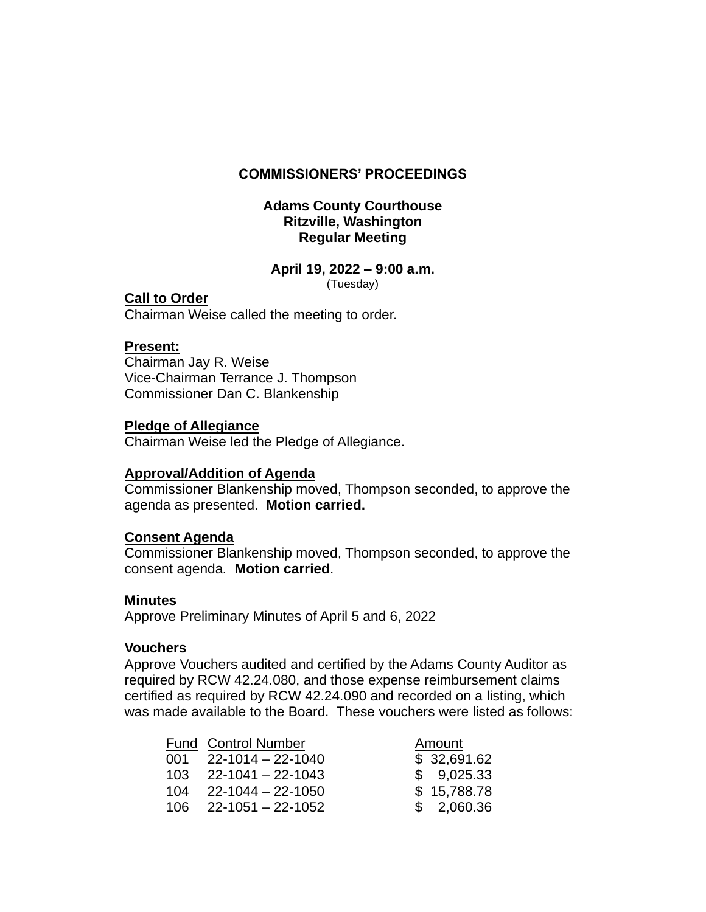## **COMMISSIONERS' PROCEEDINGS**

## **Adams County Courthouse Ritzville, Washington Regular Meeting**

# **April 19, 2022 – 9:00 a.m.**

(Tuesday)

# **Call to Order**

Chairman Weise called the meeting to order.

## **Present:**

Chairman Jay R. Weise Vice-Chairman Terrance J. Thompson Commissioner Dan C. Blankenship

## **Pledge of Allegiance**

Chairman Weise led the Pledge of Allegiance.

# **Approval/Addition of Agenda**

Commissioner Blankenship moved, Thompson seconded, to approve the agenda as presented. **Motion carried.**

# **Consent Agenda**

Commissioner Blankenship moved, Thompson seconded, to approve the consent agenda*.* **Motion carried**.

#### **Minutes**

Approve Preliminary Minutes of April 5 and 6, 2022

#### **Vouchers**

Approve Vouchers audited and certified by the Adams County Auditor as required by RCW 42.24.080, and those expense reimbursement claims certified as required by RCW 42.24.090 and recorded on a listing, which was made available to the Board. These vouchers were listed as follows:

|         | <b>Fund Control Number</b>        | Amount      |
|---------|-----------------------------------|-------------|
|         | $001 \quad 22 - 1014 - 22 - 1040$ | \$32,691.62 |
| $103 -$ | 22-1041 - 22-1043                 | \$9,025.33  |
| 104     | 22-1044 – 22-1050                 | \$15,788.78 |
|         | $106$ 22-1051 - 22-1052           | \$2,060.36  |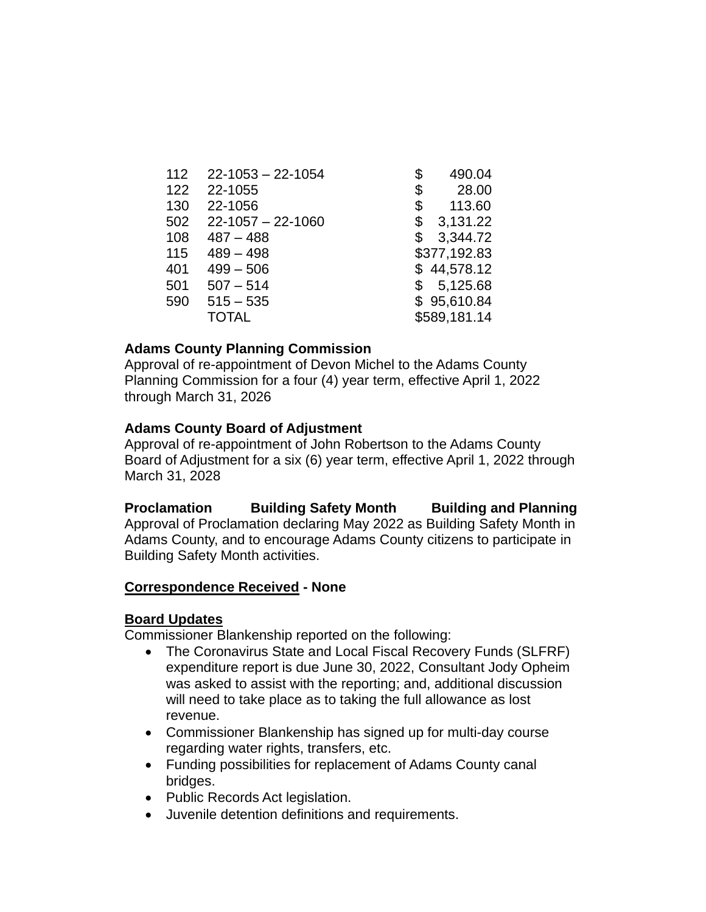| 112 | $22 - 1053 - 22 - 1054$ | \$<br>490.04   |
|-----|-------------------------|----------------|
| 122 | 22-1055                 | \$<br>28.00    |
| 130 | 22-1056                 | \$<br>113.60   |
| 502 | $22 - 1057 - 22 - 1060$ | \$<br>3,131.22 |
| 108 | $487 - 488$             | \$<br>3,344.72 |
| 115 | $489 - 498$             | \$377,192.83   |
| 401 | $499 - 506$             | \$44,578.12    |
| 501 | $507 - 514$             | \$5,125.68     |
| 590 | $515 - 535$             | \$95,610.84    |
|     | <b>TOTAL</b>            | \$589,181.14   |

## **Adams County Planning Commission**

Approval of re-appointment of Devon Michel to the Adams County Planning Commission for a four (4) year term, effective April 1, 2022 through March 31, 2026

# **Adams County Board of Adjustment**

Approval of re-appointment of John Robertson to the Adams County Board of Adjustment for a six (6) year term, effective April 1, 2022 through March 31, 2028

**Proclamation Building Safety Month Building and Planning** Approval of Proclamation declaring May 2022 as Building Safety Month in Adams County, and to encourage Adams County citizens to participate in Building Safety Month activities.

# **Correspondence Received - None**

# **Board Updates**

Commissioner Blankenship reported on the following:

- The Coronavirus State and Local Fiscal Recovery Funds (SLFRF) expenditure report is due June 30, 2022, Consultant Jody Opheim was asked to assist with the reporting; and, additional discussion will need to take place as to taking the full allowance as lost revenue.
- Commissioner Blankenship has signed up for multi-day course regarding water rights, transfers, etc.
- Funding possibilities for replacement of Adams County canal bridges.
- Public Records Act legislation.
- Juvenile detention definitions and requirements.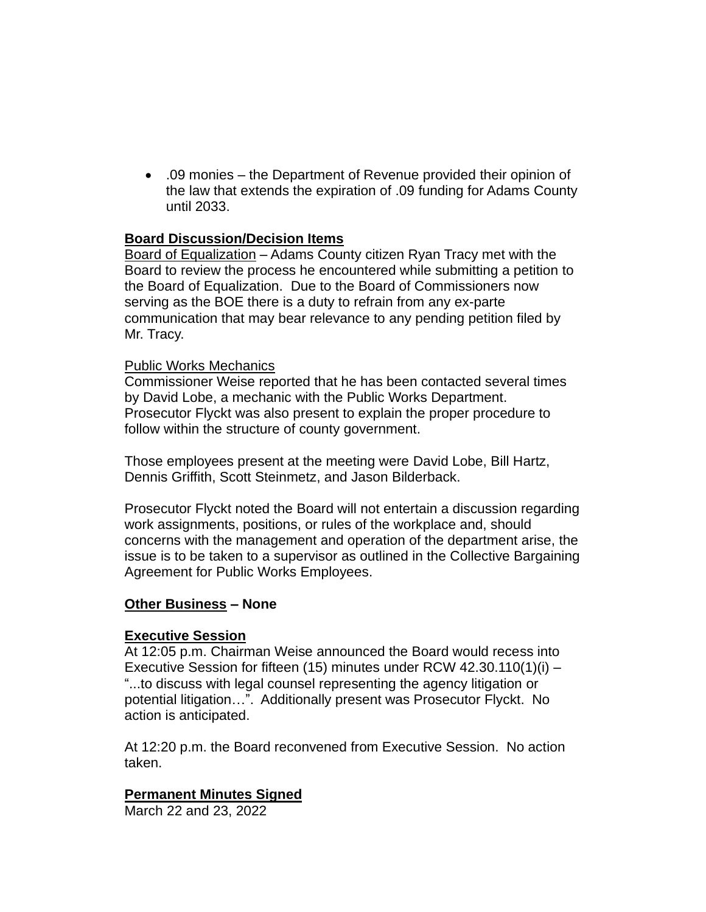• .09 monies – the Department of Revenue provided their opinion of the law that extends the expiration of .09 funding for Adams County until 2033.

## **Board Discussion/Decision Items**

Board of Equalization – Adams County citizen Ryan Tracy met with the Board to review the process he encountered while submitting a petition to the Board of Equalization. Due to the Board of Commissioners now serving as the BOE there is a duty to refrain from any ex-parte communication that may bear relevance to any pending petition filed by Mr. Tracy.

#### Public Works Mechanics

Commissioner Weise reported that he has been contacted several times by David Lobe, a mechanic with the Public Works Department. Prosecutor Flyckt was also present to explain the proper procedure to follow within the structure of county government.

Those employees present at the meeting were David Lobe, Bill Hartz, Dennis Griffith, Scott Steinmetz, and Jason Bilderback.

Prosecutor Flyckt noted the Board will not entertain a discussion regarding work assignments, positions, or rules of the workplace and, should concerns with the management and operation of the department arise, the issue is to be taken to a supervisor as outlined in the Collective Bargaining Agreement for Public Works Employees.

# **Other Business – None**

#### **Executive Session**

At 12:05 p.m. Chairman Weise announced the Board would recess into Executive Session for fifteen (15) minutes under RCW 42.30.110(1)(i) – "...to discuss with legal counsel representing the agency litigation or potential litigation…". Additionally present was Prosecutor Flyckt. No action is anticipated.

At 12:20 p.m. the Board reconvened from Executive Session. No action taken.

# **Permanent Minutes Signed**

March 22 and 23, 2022